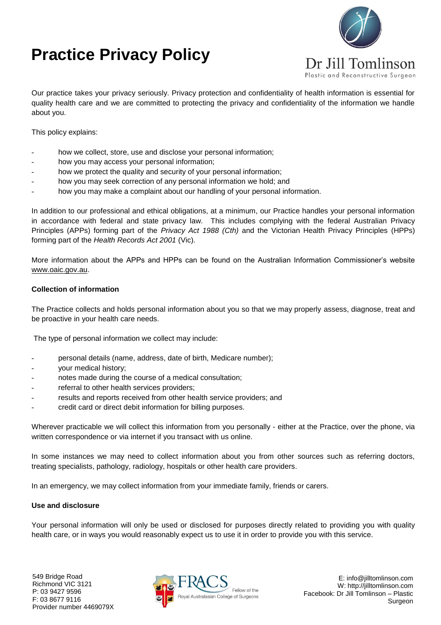# **Practice Privacy Policy**



Our practice takes your privacy seriously. Privacy protection and confidentiality of health information is essential for quality health care and we are committed to protecting the privacy and confidentiality of the information we handle about you.

This policy explains:

- how we collect, store, use and disclose your personal information;
- how you may access your personal information;
- how we protect the quality and security of your personal information;
- how you may seek correction of any personal information we hold; and
- how you may make a complaint about our handling of your personal information.

In addition to our professional and ethical obligations, at a minimum, our Practice handles your personal information in accordance with federal and state privacy law. This includes complying with the federal Australian Privacy Principles (APPs) forming part of the *Privacy Act 1988 (Cth)* and the Victorian Health Privacy Principles (HPPs) forming part of the *Health Records Act 2001* (Vic).

More information about the APPs and HPPs can be found on the Australian Information Commissioner's website [www.oaic.gov.au.](http://www.oaic.gov.au/)

#### **Collection of information**

The Practice collects and holds personal information about you so that we may properly assess, diagnose, treat and be proactive in your health care needs.

The type of personal information we collect may include:

- personal details (name, address, date of birth, Medicare number);
- your medical history;
- notes made during the course of a medical consultation;
- referral to other health services providers;
- results and reports received from other health service providers; and
- credit card or direct debit information for billing purposes.

Wherever practicable we will collect this information from you personally - either at the Practice, over the phone, via written correspondence or via internet if you transact with us online.

In some instances we may need to collect information about you from other sources such as referring doctors, treating specialists, pathology, radiology, hospitals or other health care providers.

In an emergency, we may collect information from your immediate family, friends or carers.

#### **Use and disclosure**

Your personal information will only be used or disclosed for purposes directly related to providing you with quality health care, or in ways you would reasonably expect us to use it in order to provide you with this service.

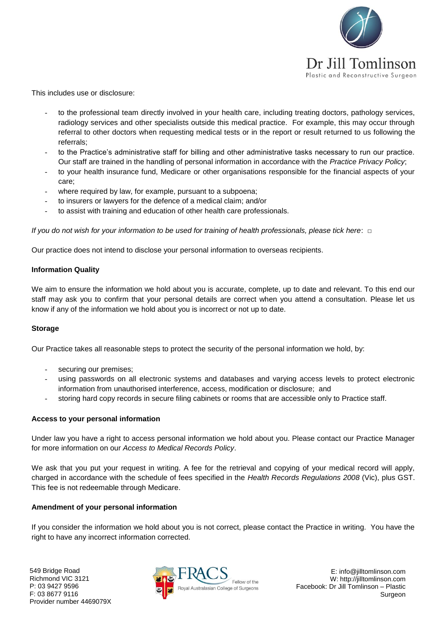

This includes use or disclosure:

- to the professional team directly involved in your health care, including treating doctors, pathology services, radiology services and other specialists outside this medical practice. For example, this may occur through referral to other doctors when requesting medical tests or in the report or result returned to us following the referrals;
- to the Practice's administrative staff for billing and other administrative tasks necessary to run our practice. Our staff are trained in the handling of personal information in accordance with the *Practice Privacy Policy*;
- to your health insurance fund, Medicare or other organisations responsible for the financial aspects of your care;
- where required by law, for example, pursuant to a subpoena;
- to insurers or lawyers for the defence of a medical claim; and/or
- to assist with training and education of other health care professionals.

*If you do not wish for your information to be used for training of health professionals, please tick here*: □

Our practice does not intend to disclose your personal information to overseas recipients.

### **Information Quality**

We aim to ensure the information we hold about you is accurate, complete, up to date and relevant. To this end our staff may ask you to confirm that your personal details are correct when you attend a consultation. Please let us know if any of the information we hold about you is incorrect or not up to date.

### **Storage**

Our Practice takes all reasonable steps to protect the security of the personal information we hold, by:

- securing our premises;
- using passwords on all electronic systems and databases and varying access levels to protect electronic information from unauthorised interference, access, modification or disclosure; and
- storing hard copy records in secure filing cabinets or rooms that are accessible only to Practice staff.

### **Access to your personal information**

Under law you have a right to access personal information we hold about you. Please contact our Practice Manager for more information on our *Access to Medical Records Policy*.

We ask that you put your request in writing. A fee for the retrieval and copying of your medical record will apply, charged in accordance with the schedule of fees specified in the *Health Records Regulations 2008* (Vic), plus GST. This fee is not redeemable through Medicare.

### **Amendment of your personal information**

If you consider the information we hold about you is not correct, please contact the Practice in writing. You have the right to have any incorrect information corrected.



E: info@jilltomlinson.com W: http://jilltomlinson.com Facebook: Dr Jill Tomlinson – Plastic Surgeon